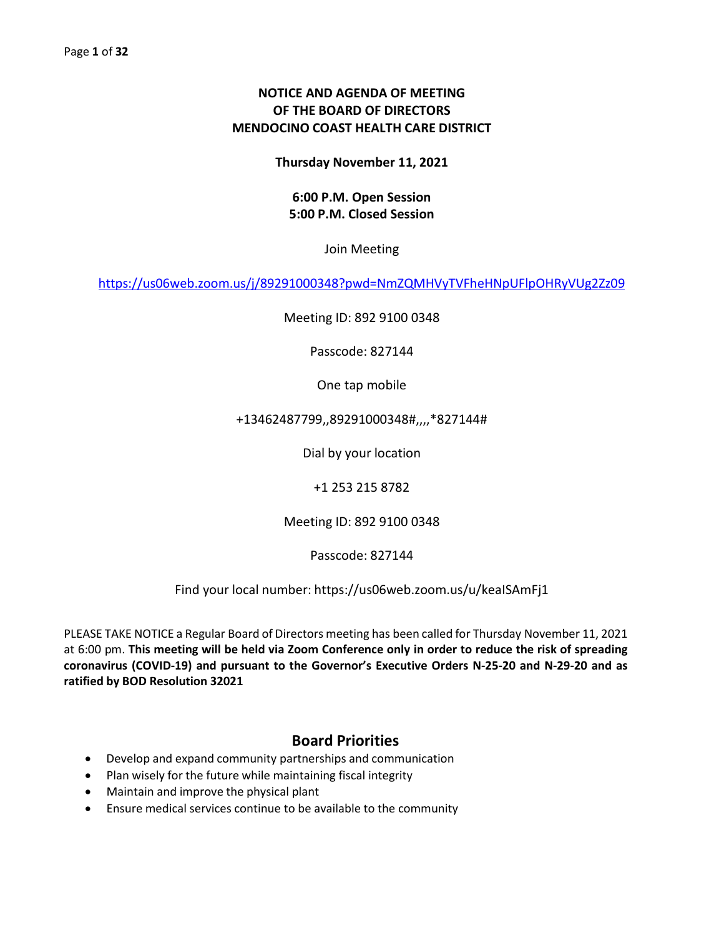# **NOTICE AND AGENDA OF MEETING OF THE BOARD OF DIRECTORS MENDOCINO COAST HEALTH CARE DISTRICT**

**Thursday November 11, 2021**

# **6:00 P.M. Open Session 5:00 P.M. Closed Session**

Join Meeting

<https://us06web.zoom.us/j/89291000348?pwd=NmZQMHVyTVFheHNpUFlpOHRyVUg2Zz09>

Meeting ID: 892 9100 0348

Passcode: 827144

One tap mobile

# +13462487799,,89291000348#,,,,\*827144#

Dial by your location

+1 253 215 8782

Meeting ID: 892 9100 0348

Passcode: 827144

Find your local number: https://us06web.zoom.us/u/keaISAmFj1

PLEASE TAKE NOTICE a Regular Board of Directors meeting has been called for Thursday November 11, 2021 at 6:00 pm. **This meeting will be held via Zoom Conference only in order to reduce the risk of spreading coronavirus (COVID-19) and pursuant to the Governor's Executive Orders N-25-20 and N-29-20 and as ratified by BOD Resolution 32021**

# **Board Priorities**

- Develop and expand community partnerships and communication
- Plan wisely for the future while maintaining fiscal integrity
- Maintain and improve the physical plant
- Ensure medical services continue to be available to the community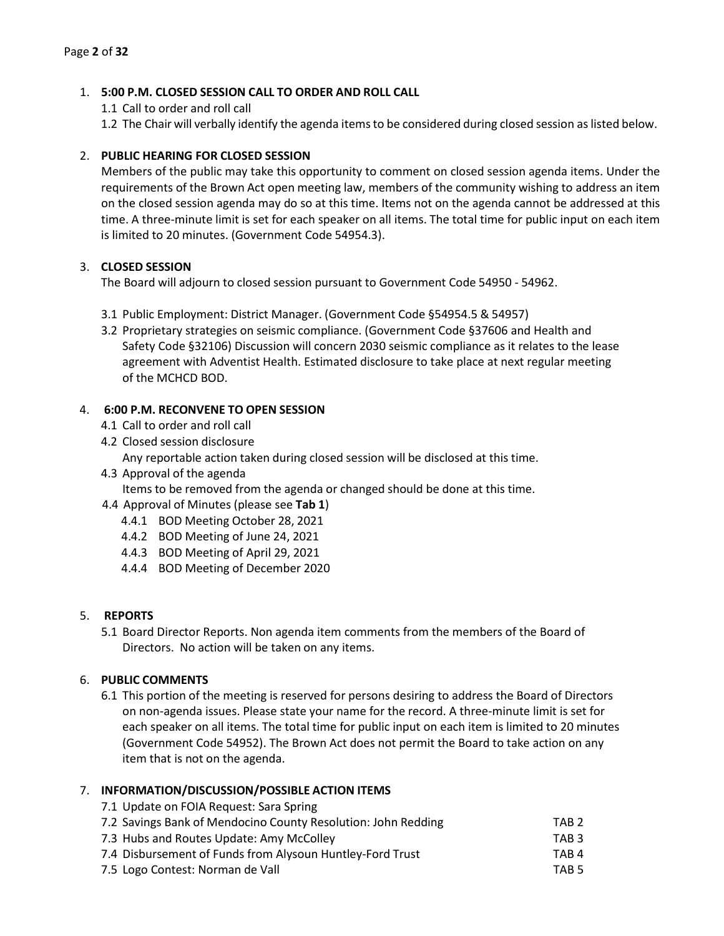# 1. **5:00 P.M. CLOSED SESSION CALL TO ORDER AND ROLL CALL**

1.1 Call to order and roll call

1.2 The Chair will verbally identify the agenda items to be considered during closed session as listed below.

# 2. **PUBLIC HEARING FOR CLOSED SESSION**

Members of the public may take this opportunity to comment on closed session agenda items. Under the requirements of the Brown Act open meeting law, members of the community wishing to address an item on the closed session agenda may do so at this time. Items not on the agenda cannot be addressed at this time. A three-minute limit is set for each speaker on all items. The total time for public input on each item is limited to 20 minutes. (Government Code 54954.3).

# 3. **CLOSED SESSION**

The Board will adjourn to closed session pursuant to Government Code 54950 - 54962.

- 3.1 Public Employment: District Manager. (Government Code §54954.5 & 54957)
- 3.2 Proprietary strategies on seismic compliance. (Government Code §37606 and Health and Safety Code §32106) Discussion will concern 2030 seismic compliance as it relates to the lease agreement with Adventist Health. Estimated disclosure to take place at next regular meeting of the MCHCD BOD.

# 4. **6:00 P.M. RECONVENE TO OPEN SESSION**

- 4.1 Call to order and roll call
- 4.2 Closed session disclosure

Any reportable action taken during closed session will be disclosed at this time.

4.3 Approval of the agenda

Items to be removed from the agenda or changed should be done at this time.

- 4.4 Approval of Minutes (please see **Tab 1**)
	- 4.4.1 BOD Meeting October 28, 2021
	- 4.4.2 BOD Meeting of June 24, 2021
	- 4.4.3 BOD Meeting of April 29, 2021
	- 4.4.4 BOD Meeting of December 2020

#### 5. **REPORTS**

5.1 Board Director Reports. Non agenda item comments from the members of the Board of Directors. No action will be taken on any items.

# 6. **PUBLIC COMMENTS**

6.1 This portion of the meeting is reserved for persons desiring to address the Board of Directors on non-agenda issues. Please state your name for the record. A three-minute limit is set for each speaker on all items. The total time for public input on each item is limited to 20 minutes (Government Code 54952). The Brown Act does not permit the Board to take action on any item that is not on the agenda.

#### 7. **INFORMATION/DISCUSSION/POSSIBLE ACTION ITEMS**

7.1 Update on FOIA Request: Sara Spring

|        |  |  |  | 7.2 Savings Bank of Mendocino County Resolution: John Redding | TAB <sub>2</sub> |
|--------|--|--|--|---------------------------------------------------------------|------------------|
| _ _  . |  |  |  |                                                               |                  |

7.3 Hubs and Routes Update: Amy McColley TAB 3

| 7.4 Disbursement of Funds from Alysoun Huntley-Ford Trust | TAB 4 |
|-----------------------------------------------------------|-------|
|                                                           |       |

7.5 Logo Contest: Norman de Vall **TAB 5**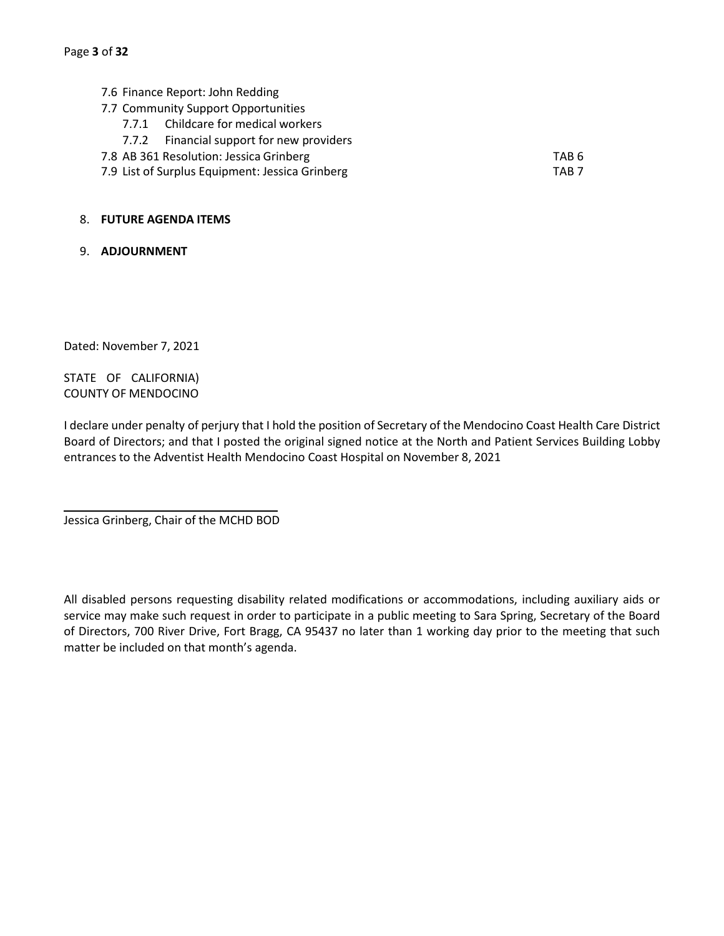- 7.6 Finance Report: John Redding
- 7.7 Community Support Opportunities
	- 7.7.1 Childcare for medical workers
	- 7.7.2 Financial support for new providers
- 7.8 AB 361 Resolution: Jessica Grinberg TAB 6
- 7.9 List of Surplus Equipment: Jessica Grinberg TAB 7

#### 8. **FUTURE AGENDA ITEMS**

9. **ADJOURNMENT**

Dated: November 7, 2021

STATE OF CALIFORNIA) COUNTY OF MENDOCINO

I declare under penalty of perjury that I hold the position of Secretary of the Mendocino Coast Health Care District Board of Directors; and that I posted the original signed notice at the North and Patient Services Building Lobby entrances to the Adventist Health Mendocino Coast Hospital on November 8, 2021

Jessica Grinberg, Chair of the MCHD BOD

All disabled persons requesting disability related modifications or accommodations, including auxiliary aids or service may make such request in order to participate in a public meeting to Sara Spring, Secretary of the Board of Directors, 700 River Drive, Fort Bragg, CA 95437 no later than 1 working day prior to the meeting that such matter be included on that month's agenda.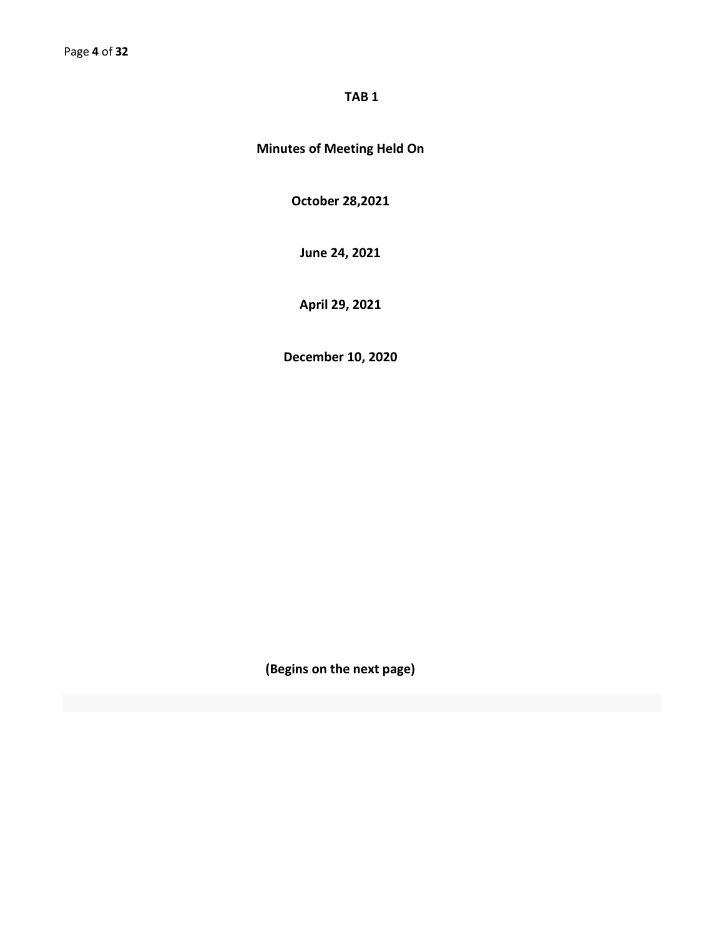# **TAB 1**

# **Minutes of Meeting Held On**

**October 28,2021**

**June 24, 2021**

**April 29, 2021**

**December 10, 2020**

**(Begins on the next page)**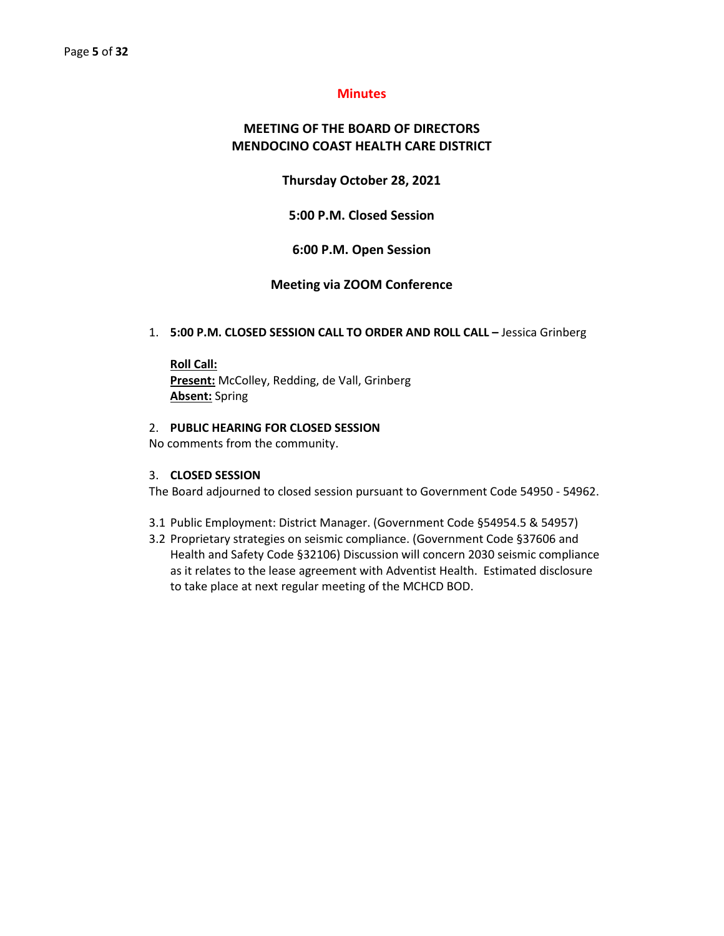#### **Minutes**

# **MEETING OF THE BOARD OF DIRECTORS MENDOCINO COAST HEALTH CARE DISTRICT**

#### **Thursday October 28, 2021**

**5:00 P.M. Closed Session**

#### **6:00 P.M. Open Session**

#### **Meeting via ZOOM Conference**

#### 1. **5:00 P.M. CLOSED SESSION CALL TO ORDER AND ROLL CALL –** Jessica Grinberg

**Roll Call: Present:** McColley, Redding, de Vall, Grinberg **Absent:** Spring

#### 2. **PUBLIC HEARING FOR CLOSED SESSION**

No comments from the community.

#### 3. **CLOSED SESSION**

The Board adjourned to closed session pursuant to Government Code 54950 - 54962.

- 3.1 Public Employment: District Manager. (Government Code §54954.5 & 54957)
- 3.2 Proprietary strategies on seismic compliance. (Government Code §37606 and Health and Safety Code §32106) Discussion will concern 2030 seismic compliance as it relates to the lease agreement with Adventist Health. Estimated disclosure to take place at next regular meeting of the MCHCD BOD.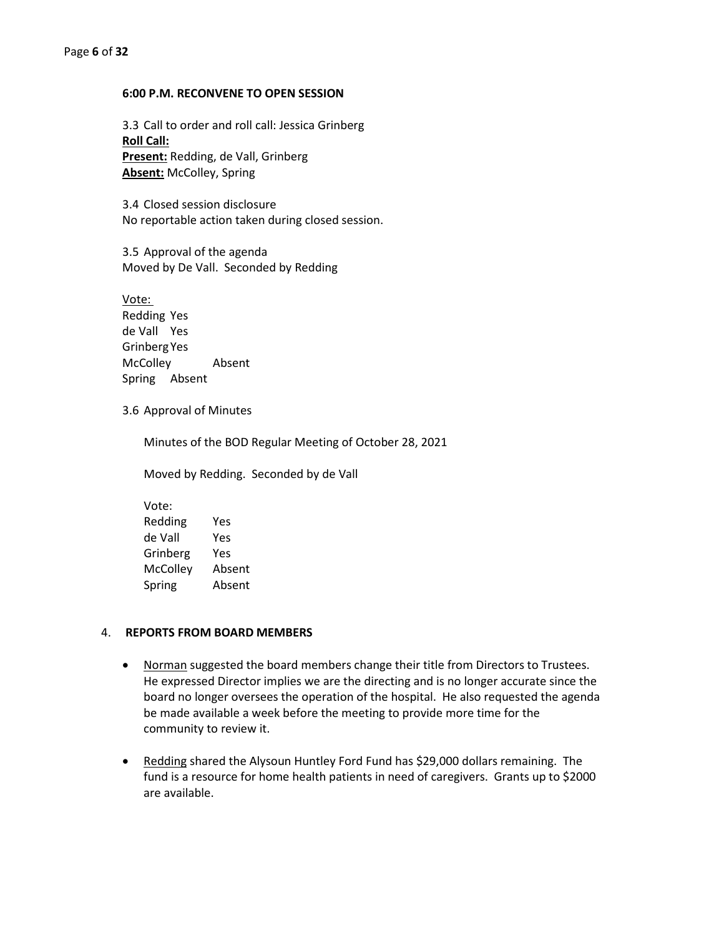#### **6:00 P.M. RECONVENE TO OPEN SESSION**

3.3 Call to order and roll call: Jessica Grinberg **Roll Call: Present:** Redding, de Vall, Grinberg **Absent:** McColley, Spring

3.4 Closed session disclosure No reportable action taken during closed session.

3.5 Approval of the agenda Moved by De Vall. Seconded by Redding

Vote: Redding Yes de Vall Yes GrinbergYes McColley Absent Spring Absent

#### 3.6 Approval of Minutes

Minutes of the BOD Regular Meeting of October 28, 2021

Moved by Redding. Seconded by de Vall

Vote: Redding Yes de Vall Yes Grinberg Yes McColley Absent Spring Absent

#### 4. **REPORTS FROM BOARD MEMBERS**

- Norman suggested the board members change their title from Directors to Trustees. He expressed Director implies we are the directing and is no longer accurate since the board no longer oversees the operation of the hospital. He also requested the agenda be made available a week before the meeting to provide more time for the community to review it.
- Redding shared the Alysoun Huntley Ford Fund has \$29,000 dollars remaining. The fund is a resource for home health patients in need of caregivers. Grants up to \$2000 are available.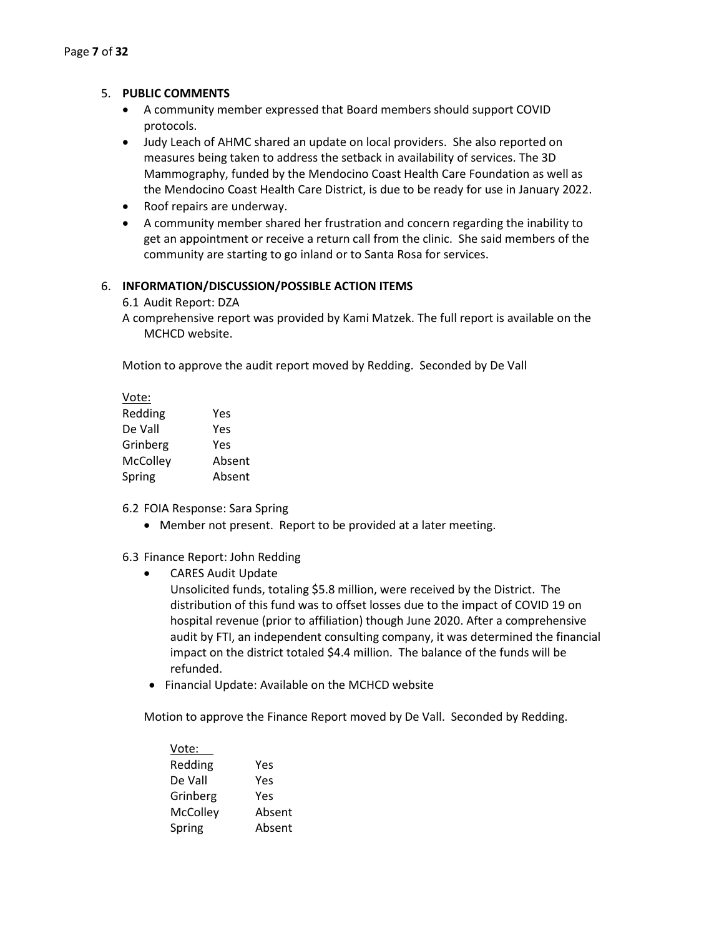#### 5. **PUBLIC COMMENTS**

- A community member expressed that Board members should support COVID protocols.
- Judy Leach of AHMC shared an update on local providers. She also reported on measures being taken to address the setback in availability of services. The 3D Mammography, funded by the Mendocino Coast Health Care Foundation as well as the Mendocino Coast Health Care District, is due to be ready for use in January 2022.
- Roof repairs are underway.
- A community member shared her frustration and concern regarding the inability to get an appointment or receive a return call from the clinic. She said members of the community are starting to go inland or to Santa Rosa for services.

#### 6. **INFORMATION/DISCUSSION/POSSIBLE ACTION ITEMS**

- 6.1 Audit Report: DZA
- A comprehensive report was provided by Kami Matzek. The full report is available on the MCHCD website.

Motion to approve the audit report moved by Redding. Seconded by De Vall

| Vote:    |        |
|----------|--------|
| Redding  | Yes    |
| De Vall  | Yes    |
| Grinberg | Yes    |
| McColley | Absent |
| Spring   | Absent |

6.2 FOIA Response: Sara Spring

• Member not present. Report to be provided at a later meeting.

6.3 Finance Report: John Redding

• CARES Audit Update

Unsolicited funds, totaling \$5.8 million, were received by the District. The distribution of this fund was to offset losses due to the impact of COVID 19 on hospital revenue (prior to affiliation) though June 2020. After a comprehensive audit by FTI, an independent consulting company, it was determined the financial impact on the district totaled \$4.4 million. The balance of the funds will be refunded.

• Financial Update: Available on the MCHCD website

Motion to approve the Finance Report moved by De Vall. Seconded by Redding.

| Vote:    |        |
|----------|--------|
| Redding  | Yes    |
| De Vall  | Yes    |
| Grinberg | Yes    |
| McColley | Absent |
| Spring   | Absent |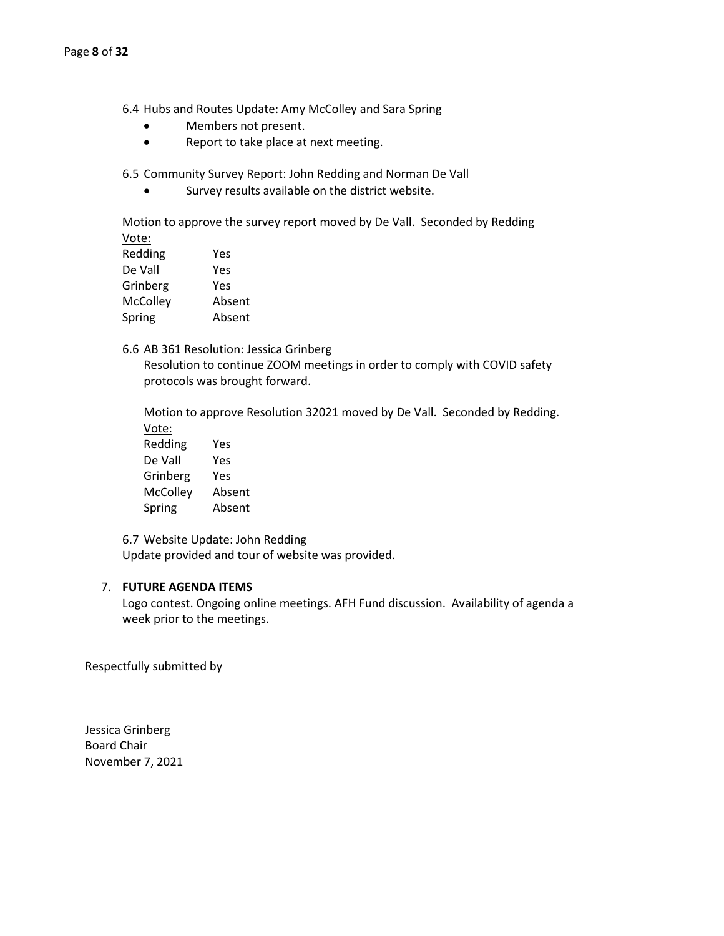6.4 Hubs and Routes Update: Amy McColley and Sara Spring

- Members not present.
- Report to take place at next meeting.

6.5 Community Survey Report: John Redding and Norman De Vall

Survey results available on the district website.

Motion to approve the survey report moved by De Vall. Seconded by Redding Vote:

| Redding  | Yes    |
|----------|--------|
| De Vall  | Yes    |
| Grinberg | Yes    |
| McColley | Absent |
| Spring   | Absent |
|          |        |

6.6 AB 361 Resolution: Jessica Grinberg Resolution to continue ZOOM meetings in order to comply with COVID safety protocols was brought forward.

Motion to approve Resolution 32021 moved by De Vall. Seconded by Redding. Vote:

Redding Yes De Vall Yes Grinberg Yes McColley Absent Spring Absent

6.7 Website Update: John Redding Update provided and tour of website was provided.

#### 7. **FUTURE AGENDA ITEMS**

Logo contest. Ongoing online meetings. AFH Fund discussion. Availability of agenda a week prior to the meetings.

Respectfully submitted by

Jessica Grinberg Board Chair November 7, 2021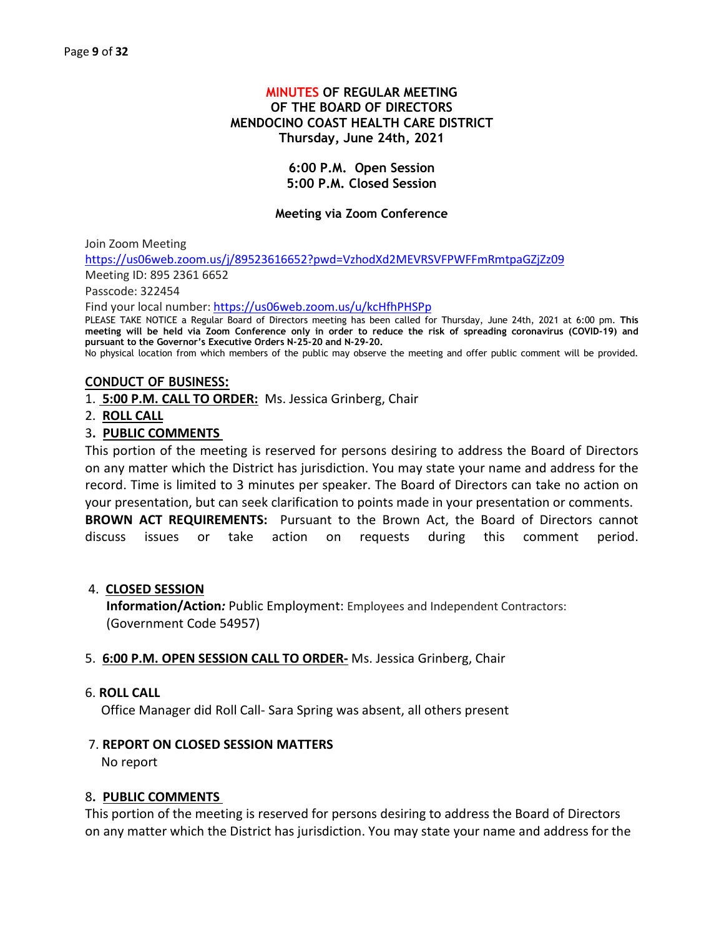# **MINUTES OF REGULAR MEETING OF THE BOARD OF DIRECTORS MENDOCINO COAST HEALTH CARE DISTRICT Thursday, June 24th, 2021**

# **6:00 P.M. Open Session 5:00 P.M. Closed Session**

# **Meeting via Zoom Conference**

Join Zoom Meeting

<https://us06web.zoom.us/j/89523616652?pwd=VzhodXd2MEVRSVFPWFFmRmtpaGZjZz09>

Meeting ID: 895 2361 6652

Passcode: 322454

Find your local number[: https://us06web.zoom.us/u/kcHfhPHSPp](https://us06web.zoom.us/u/kcHfhPHSPp)

PLEASE TAKE NOTICE a Regular Board of Directors meeting has been called for Thursday, June 24th, 2021 at 6:00 pm. **This meeting will be held via Zoom Conference only in order to reduce the risk of spreading coronavirus (COVID-19) and pursuant to the Governor's Executive Orders N-25-20 and N-29-20.** 

No physical location from which members of the public may observe the meeting and offer public comment will be provided.

# **CONDUCT OF BUSINESS:**

- 1. **5:00 P.M. CALL TO ORDER:** Ms. Jessica Grinberg, Chair
- 2. **ROLL CALL**

# 3**. PUBLIC COMMENTS**

This portion of the meeting is reserved for persons desiring to address the Board of Directors on any matter which the District has jurisdiction. You may state your name and address for the record. Time is limited to 3 minutes per speaker. The Board of Directors can take no action on your presentation, but can seek clarification to points made in your presentation or comments. **BROWN ACT REQUIREMENTS:** Pursuant to the Brown Act, the Board of Directors cannot discuss issues or take action on requests during this comment period.

#### 4. **CLOSED SESSION**

**Information/Action***:* Public Employment: Employees and Independent Contractors: (Government Code 54957)

#### 5. **6:00 P.M. OPEN SESSION CALL TO ORDER-** Ms. Jessica Grinberg, Chair

#### 6. **ROLL CALL**

Office Manager did Roll Call- Sara Spring was absent, all others present

#### 7. **REPORT ON CLOSED SESSION MATTERS**

No report

#### 8**. PUBLIC COMMENTS**

This portion of the meeting is reserved for persons desiring to address the Board of Directors on any matter which the District has jurisdiction. You may state your name and address for the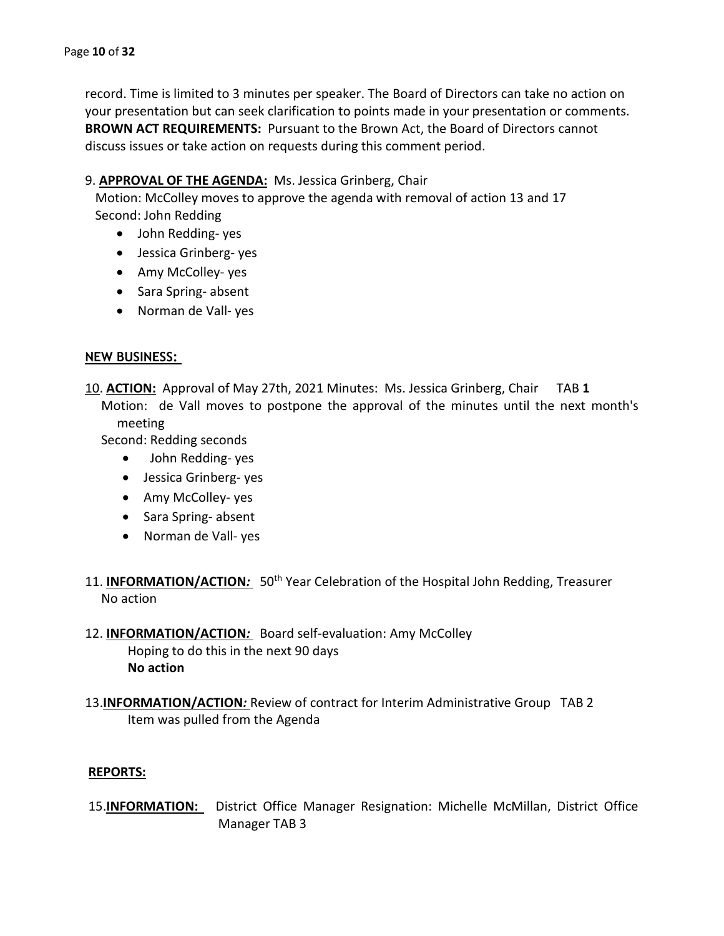record. Time is limited to 3 minutes per speaker. The Board of Directors can take no action on your presentation but can seek clarification to points made in your presentation or comments. **BROWN ACT REQUIREMENTS:** Pursuant to the Brown Act, the Board of Directors cannot discuss issues or take action on requests during this comment period.

# 9. **APPROVAL OF THE AGENDA:** Ms. Jessica Grinberg, Chair

Motion: McColley moves to approve the agenda with removal of action 13 and 17 Second: John Redding

- John Redding- yes
- Jessica Grinberg- yes
- Amy McColley- yes
- Sara Spring- absent
- Norman de Vall- yes

# **NEW BUSINESS:**

10. **ACTION:** Approval of May 27th, 2021 Minutes: Ms. Jessica Grinberg, Chair TAB **1** Motion: de Vall moves to postpone the approval of the minutes until the next month's meeting

Second: Redding seconds

- John Redding- yes
- Jessica Grinberg- yes
- Amy McColley- yes
- Sara Spring- absent
- Norman de Vall- yes
- 11. **INFORMATION/ACTION**: 50<sup>th</sup> Year Celebration of the Hospital John Redding, Treasurer No action
- 12. **INFORMATION/ACTION***:* Board self-evaluation: Amy McColley Hoping to do this in the next 90 days **No action**
- 13.**INFORMATION/ACTION***:* Review of contract for Interim Administrative Group TAB 2 Item was pulled from the Agenda

# **REPORTS:**

15.**INFORMATION:** District Office Manager Resignation: Michelle McMillan, District Office Manager TAB 3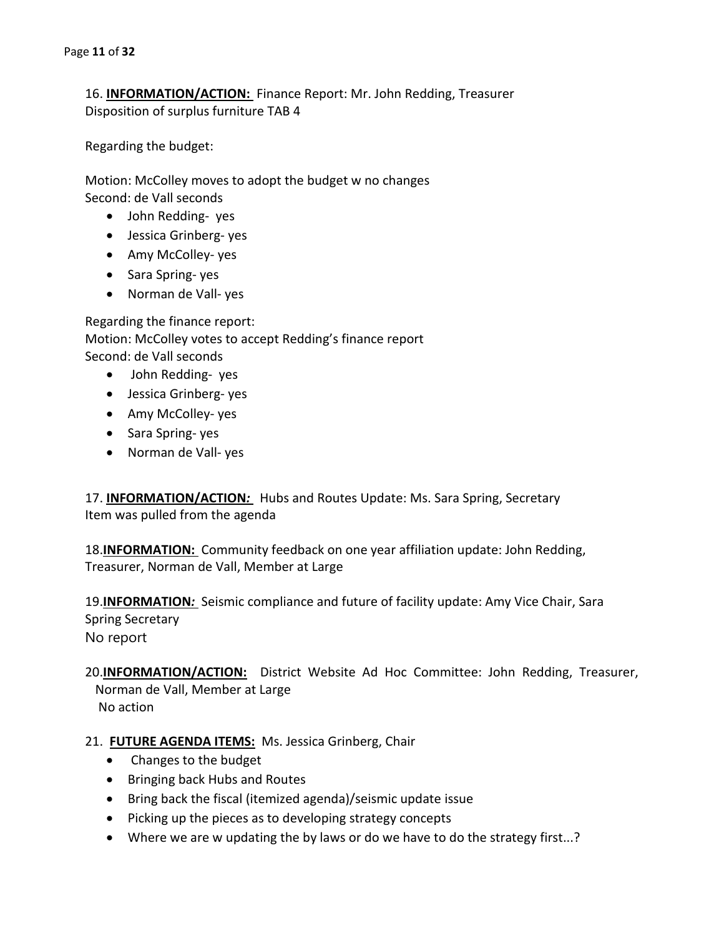16. **INFORMATION/ACTION:** Finance Report: Mr. John Redding, Treasurer Disposition of surplus furniture TAB 4

Regarding the budget:

Motion: McColley moves to adopt the budget w no changes Second: de Vall seconds

- John Redding- yes
- Jessica Grinberg- yes
- Amy McColley- yes
- Sara Spring- yes
- Norman de Vall- yes

Regarding the finance report: Motion: McColley votes to accept Redding's finance report Second: de Vall seconds

- John Redding- yes
- Jessica Grinberg- yes
- Amy McColley- yes
- Sara Spring- yes
- Norman de Vall- yes

17. **INFORMATION/ACTION***:* Hubs and Routes Update: Ms. Sara Spring, Secretary Item was pulled from the agenda

18.**INFORMATION:** Community feedback on one year affiliation update: John Redding, Treasurer, Norman de Vall, Member at Large

19.**INFORMATION***:* Seismic compliance and future of facility update: Amy Vice Chair, Sara Spring Secretary No report

20.**INFORMATION/ACTION:** District Website Ad Hoc Committee: John Redding, Treasurer, Norman de Vall, Member at Large No action

# 21. **FUTURE AGENDA ITEMS:** Ms. Jessica Grinberg, Chair

- Changes to the budget
- Bringing back Hubs and Routes
- Bring back the fiscal (itemized agenda)/seismic update issue
- Picking up the pieces as to developing strategy concepts
- Where we are w updating the by laws or do we have to do the strategy first...?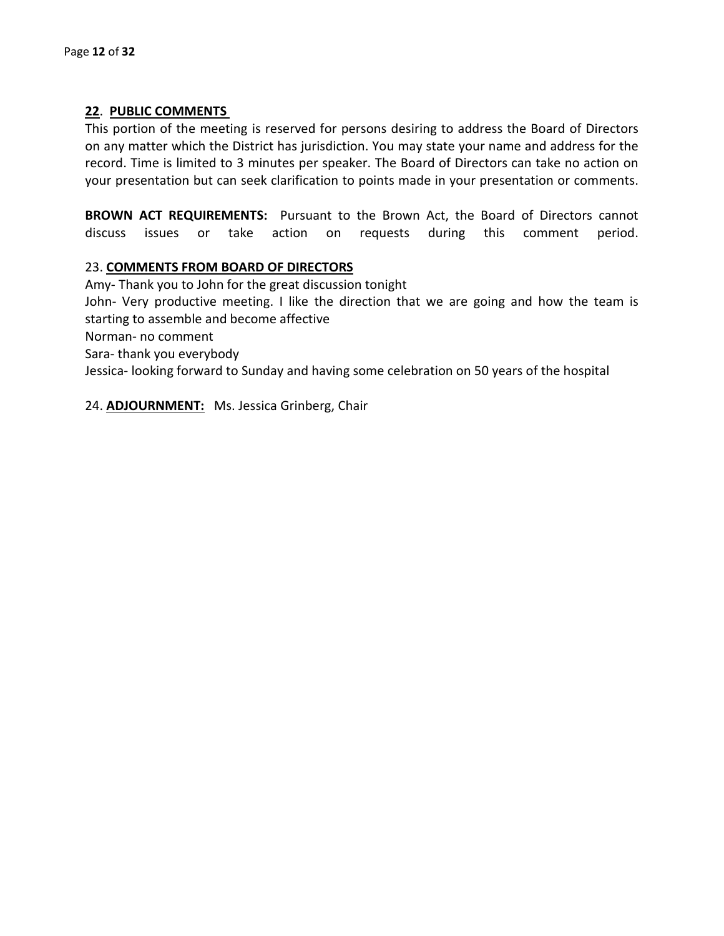# **22**. **PUBLIC COMMENTS**

This portion of the meeting is reserved for persons desiring to address the Board of Directors on any matter which the District has jurisdiction. You may state your name and address for the record. Time is limited to 3 minutes per speaker. The Board of Directors can take no action on your presentation but can seek clarification to points made in your presentation or comments.

**BROWN ACT REQUIREMENTS:** Pursuant to the Brown Act, the Board of Directors cannot discuss issues or take action on requests during this comment period.

# 23. **COMMENTS FROM BOARD OF DIRECTORS**

Amy- Thank you to John for the great discussion tonight John- Very productive meeting. I like the direction that we are going and how the team is starting to assemble and become affective Norman- no comment Sara- thank you everybody Jessica- looking forward to Sunday and having some celebration on 50 years of the hospital

24. **ADJOURNMENT:** Ms. Jessica Grinberg, Chair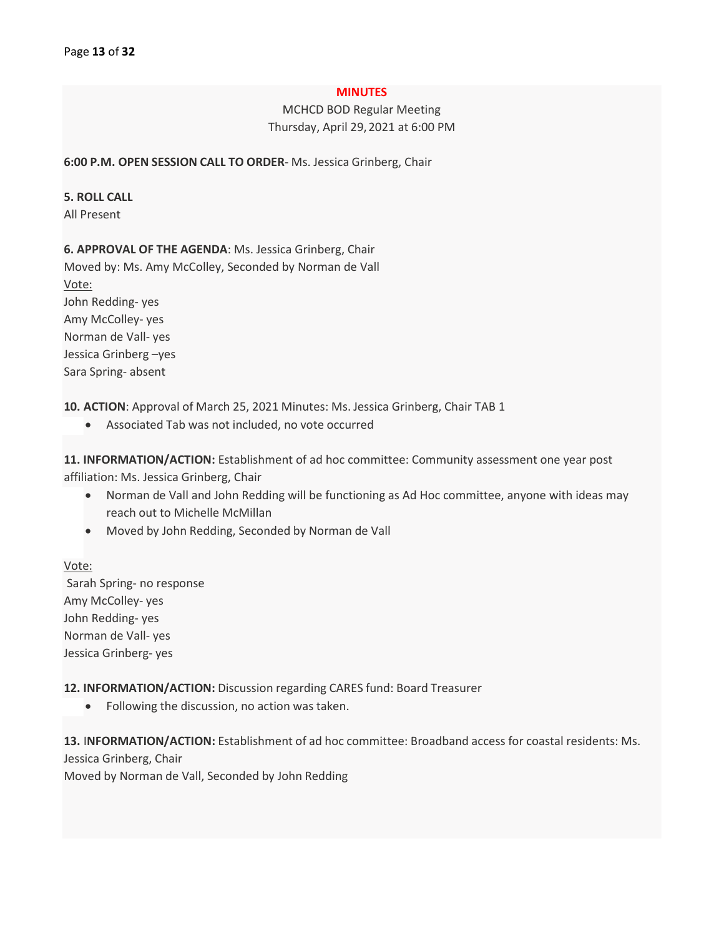#### **MINUTES**

MCHCD BOD Regular Meeting Thursday, April 29,2021 at 6:00 PM

**6:00 P.M. OPEN SESSION CALL TO ORDER**- Ms. Jessica Grinberg, Chair

#### **5. ROLL CALL**

All Present

# **6. APPROVAL OF THE AGENDA**: Ms. Jessica Grinberg, Chair

Moved by: Ms. Amy McColley, Seconded by Norman de Vall Vote: John Redding- yes Amy McColley- yes Norman de Vall- yes Jessica Grinberg –yes Sara Spring- absent

**10. ACTION**: Approval of March 25, 2021 Minutes: Ms. Jessica Grinberg, Chair TAB 1

• Associated Tab was not included, no vote occurred

**11. INFORMATION/ACTION:** Establishment of ad hoc committee: Community assessment one year post affiliation: Ms. Jessica Grinberg, Chair

- Norman de Vall and John Redding will be functioning as Ad Hoc committee, anyone with ideas may reach out to Michelle McMillan
- Moved by John Redding, Seconded by Norman de Vall

Vote: Sarah Spring- no response Amy McColley- yes John Redding- yes Norman de Vall- yes Jessica Grinberg- yes

**12. INFORMATION/ACTION:** Discussion regarding CARES fund: Board Treasurer

• Following the discussion, no action was taken.

**13.** I**NFORMATION/ACTION:** Establishment of ad hoc committee: Broadband access for coastal residents: Ms. Jessica Grinberg, Chair

Moved by Norman de Vall, Seconded by John Redding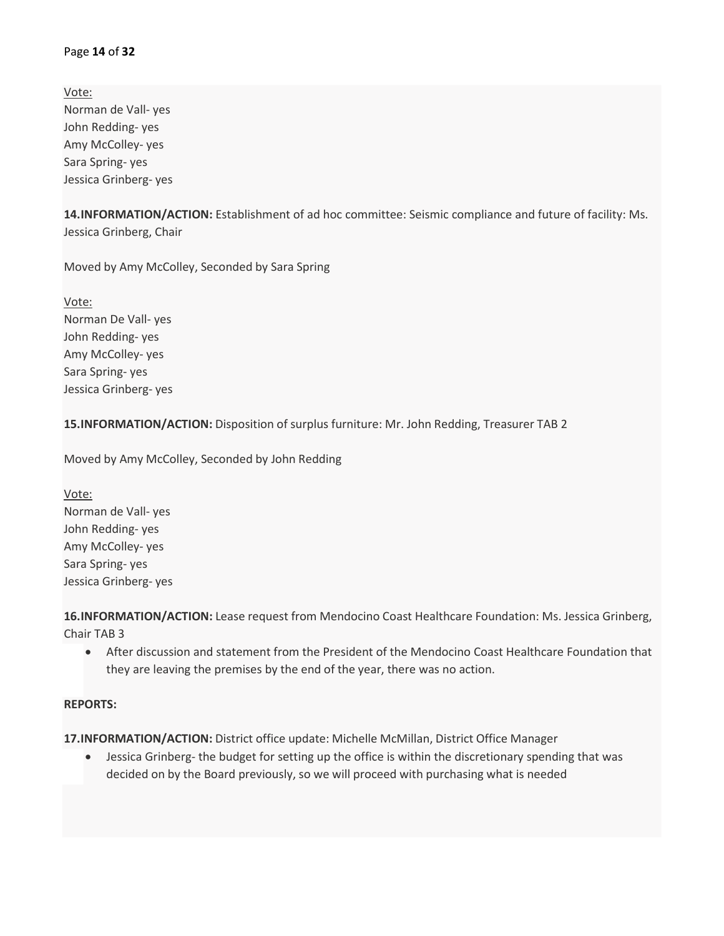#### Page **14** of **32**

Vote: Norman de Vall- yes John Redding- yes Amy McColley- yes Sara Spring- yes Jessica Grinberg- yes

**14.INFORMATION/ACTION:** Establishment of ad hoc committee: Seismic compliance and future of facility: Ms. Jessica Grinberg, Chair

Moved by Amy McColley, Seconded by Sara Spring

Vote: Norman De Vall- yes John Redding- yes Amy McColley- yes Sara Spring- yes Jessica Grinberg- yes

**15.INFORMATION/ACTION:** Disposition of surplus furniture: Mr. John Redding, Treasurer TAB 2

Moved by Amy McColley, Seconded by John Redding

Vote: Norman de Vall- yes John Redding- yes Amy McColley- yes Sara Spring- yes Jessica Grinberg- yes

**16.INFORMATION/ACTION:** Lease request from Mendocino Coast Healthcare Foundation: Ms. Jessica Grinberg, Chair TAB 3

• After discussion and statement from the President of the Mendocino Coast Healthcare Foundation that they are leaving the premises by the end of the year, there was no action.

#### **REPORTS:**

**17.INFORMATION/ACTION:** District office update: Michelle McMillan, District Office Manager

• Jessica Grinberg- the budget for setting up the office is within the discretionary spending that was decided on by the Board previously, so we will proceed with purchasing what is needed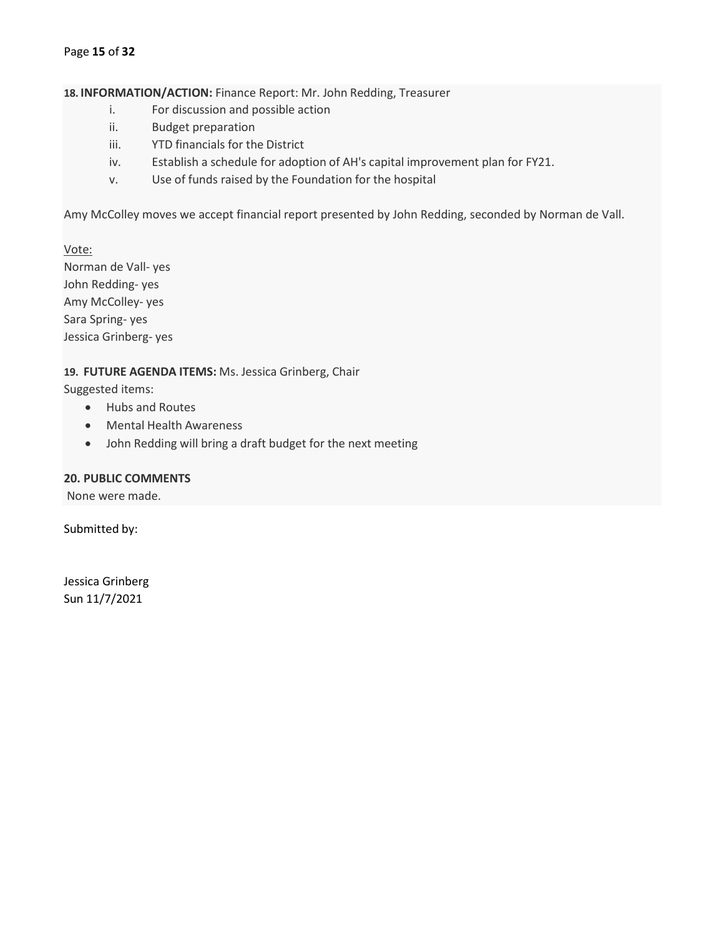#### Page **15** of **32**

**18. INFORMATION/ACTION:** Finance Report: Mr. John Redding, Treasurer

- i. For discussion and possible action
- ii. Budget preparation
- iii. YTD financials for the District
- iv. Establish a schedule for adoption of AH's capital improvement plan for FY21.
- v. Use of funds raised by the Foundation for the hospital

Amy McColley moves we accept financial report presented by John Redding, seconded by Norman de Vall.

Vote: Norman de Vall- yes John Redding- yes Amy McColley- yes Sara Spring- yes Jessica Grinberg- yes

#### **19. FUTURE AGENDA ITEMS:** Ms. Jessica Grinberg, Chair

Suggested items:

- Hubs and Routes
- Mental Health Awareness
- John Redding will bring a draft budget for the next meeting

# **20. PUBLIC COMMENTS**

None were made.

Submitted by:

Jessica Grinberg Sun 11/7/2021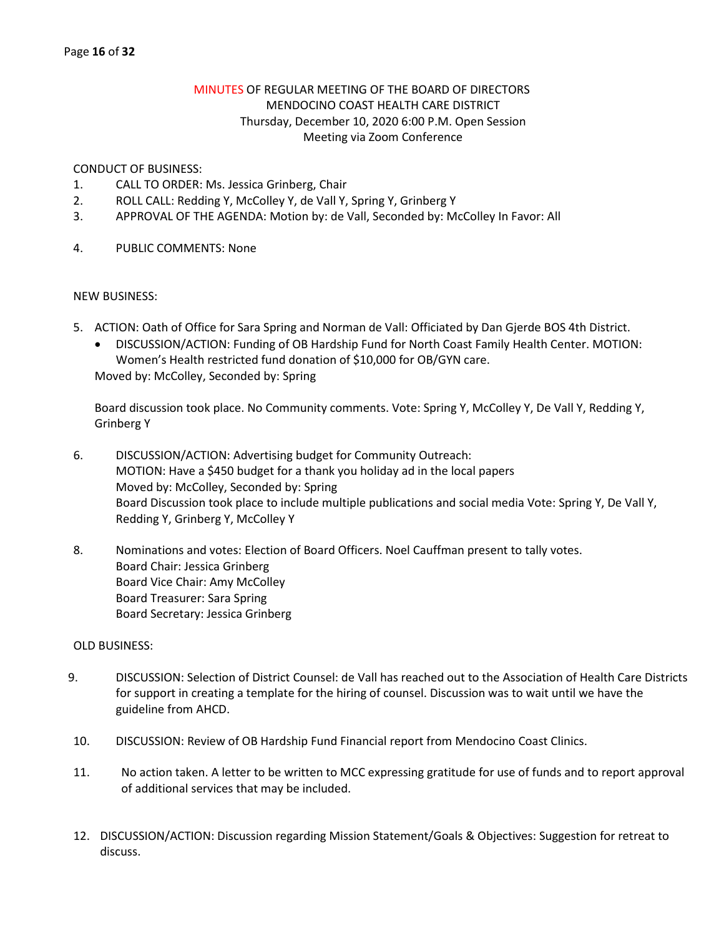# MINUTES OF REGULAR MEETING OF THE BOARD OF DIRECTORS MENDOCINO COAST HEALTH CARE DISTRICT Thursday, December 10, 2020 6:00 P.M. Open Session Meeting via Zoom Conference

#### CONDUCT OF BUSINESS:

- 1. CALL TO ORDER: Ms. Jessica Grinberg, Chair
- 2. ROLL CALL: Redding Y, McColley Y, de Vall Y, Spring Y, Grinberg Y
- 3. APPROVAL OF THE AGENDA: Motion by: de Vall, Seconded by: McColley In Favor: All
- 4. PUBLIC COMMENTS: None

# NEW BUSINESS:

- 5. ACTION: Oath of Office for Sara Spring and Norman de Vall: Officiated by Dan Gjerde BOS 4th District.
	- DISCUSSION/ACTION: Funding of OB Hardship Fund for North Coast Family Health Center. MOTION: Women's Health restricted fund donation of \$10,000 for OB/GYN care. Moved by: McColley, Seconded by: Spring

Board discussion took place. No Community comments. Vote: Spring Y, McColley Y, De Vall Y, Redding Y, Grinberg Y

- 6. DISCUSSION/ACTION: Advertising budget for Community Outreach: MOTION: Have a \$450 budget for a thank you holiday ad in the local papers Moved by: McColley, Seconded by: Spring Board Discussion took place to include multiple publications and social media Vote: Spring Y, De Vall Y, Redding Y, Grinberg Y, McColley Y
- 8. Nominations and votes: Election of Board Officers. Noel Cauffman present to tally votes. Board Chair: Jessica Grinberg Board Vice Chair: Amy McColley Board Treasurer: Sara Spring Board Secretary: Jessica Grinberg

# OLD BUSINESS:

- 9. DISCUSSION: Selection of District Counsel: de Vall has reached out to the Association of Health Care Districts for support in creating a template for the hiring of counsel. Discussion was to wait until we have the guideline from AHCD.
- 10. DISCUSSION: Review of OB Hardship Fund Financial report from Mendocino Coast Clinics.
- 11. No action taken. A letter to be written to MCC expressing gratitude for use of funds and to report approval of additional services that may be included.
- 12. DISCUSSION/ACTION: Discussion regarding Mission Statement/Goals & Objectives: Suggestion for retreat to discuss.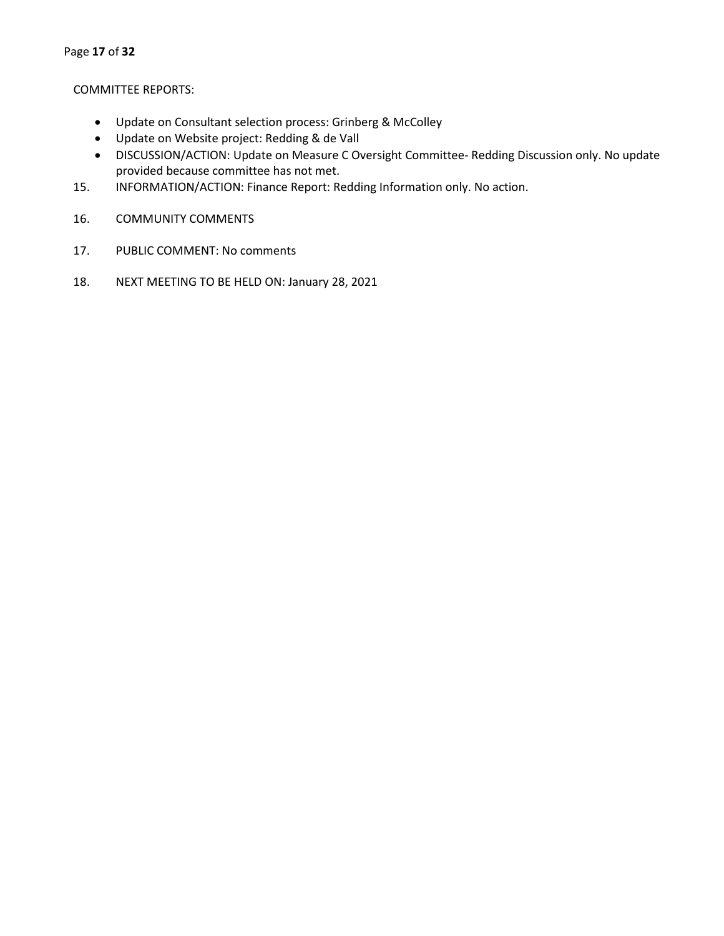#### COMMITTEE REPORTS:

- Update on Consultant selection process: Grinberg & McColley
- Update on Website project: Redding & de Vall
- DISCUSSION/ACTION: Update on Measure C Oversight Committee- Redding Discussion only. No update provided because committee has not met.
- 15. INFORMATION/ACTION: Finance Report: Redding Information only. No action.
- 16. COMMUNITY COMMENTS
- 17. PUBLIC COMMENT: No comments
- 18. NEXT MEETING TO BE HELD ON: January 28, 2021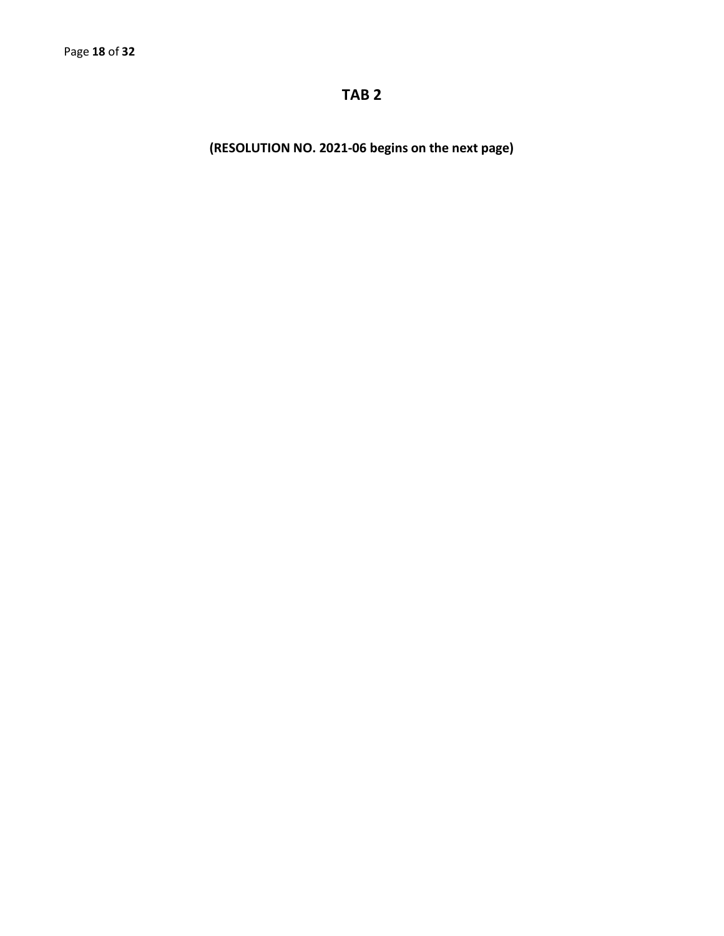# **TAB 2**

**(RESOLUTION NO. 2021-06 begins on the next page)**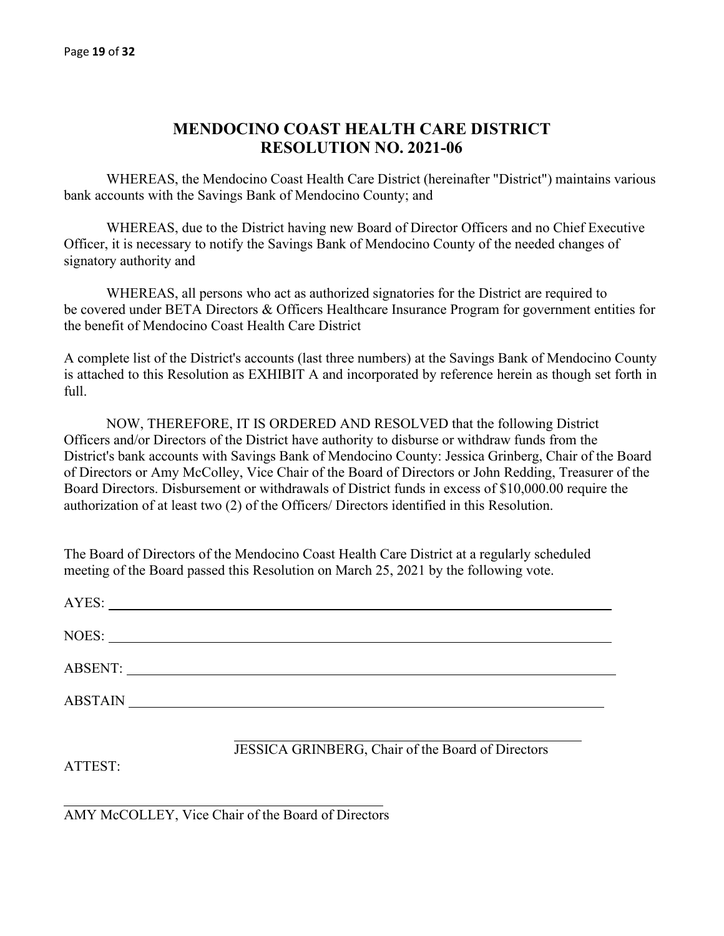# **MENDOCINO COAST HEALTH CARE DISTRICT RESOLUTION NO. 2021-06**

WHEREAS, the Mendocino Coast Health Care District (hereinafter "District") maintains various bank accounts with the Savings Bank of Mendocino County; and

WHEREAS, due to the District having new Board of Director Officers and no Chief Executive Officer, it is necessary to notify the Savings Bank of Mendocino County of the needed changes of signatory authority and

WHEREAS, all persons who act as authorized signatories for the District are required to be covered under BETA Directors & Officers Healthcare Insurance Program for government entities for the benefit of Mendocino Coast Health Care District

A complete list of the District's accounts (last three numbers) at the Savings Bank of Mendocino County is attached to this Resolution as EXHIBIT A and incorporated by reference herein as though set forth in full.

NOW, THEREFORE, IT IS ORDERED AND RESOLVED that the following District Officers and/or Directors of the District have authority to disburse or withdraw funds from the District's bank accounts with Savings Bank of Mendocino County: Jessica Grinberg, Chair of the Board of Directors or Amy McColley, Vice Chair of the Board of Directors or John Redding, Treasurer of the Board Directors. Disbursement or withdrawals of District funds in excess of \$10,000.00 require the authorization of at least two (2) of the Officers/ Directors identified in this Resolution.

The Board of Directors of the Mendocino Coast Health Care District at a regularly scheduled meeting of the Board passed this Resolution on March 25, 2021 by the following vote.

| AYES:   |                                                   |
|---------|---------------------------------------------------|
|         |                                                   |
|         |                                                   |
|         |                                                   |
| ATTEST: | JESSICA GRINBERG, Chair of the Board of Directors |

AMY McCOLLEY, Vice Chair of the Board of Directors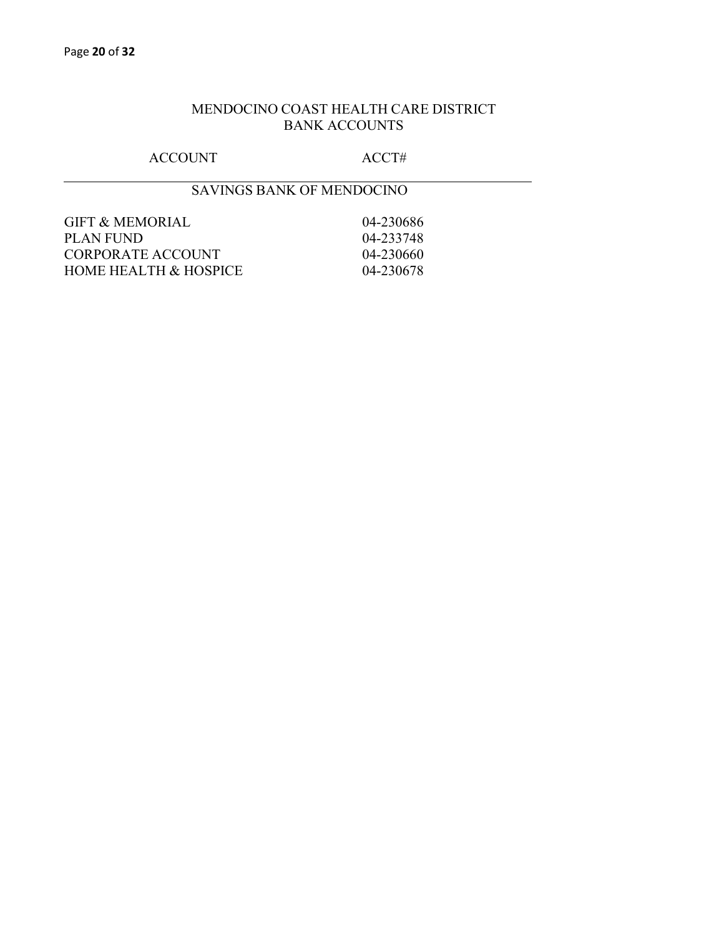# MENDOCINO COAST HEALTH CARE DISTRICT BANK ACCOUNTS

# ACCOUNT ACCT#

# SAVINGS BANK OF MENDOCINO

| GIFT & MEMORIAL       | 04-230686      |
|-----------------------|----------------|
| PLAN FUND             | 04-233748      |
| CORPORATE ACCOUNT     | $(14 - 23)660$ |
| HOME HEALTH & HOSPICE | 04-230678      |
|                       |                |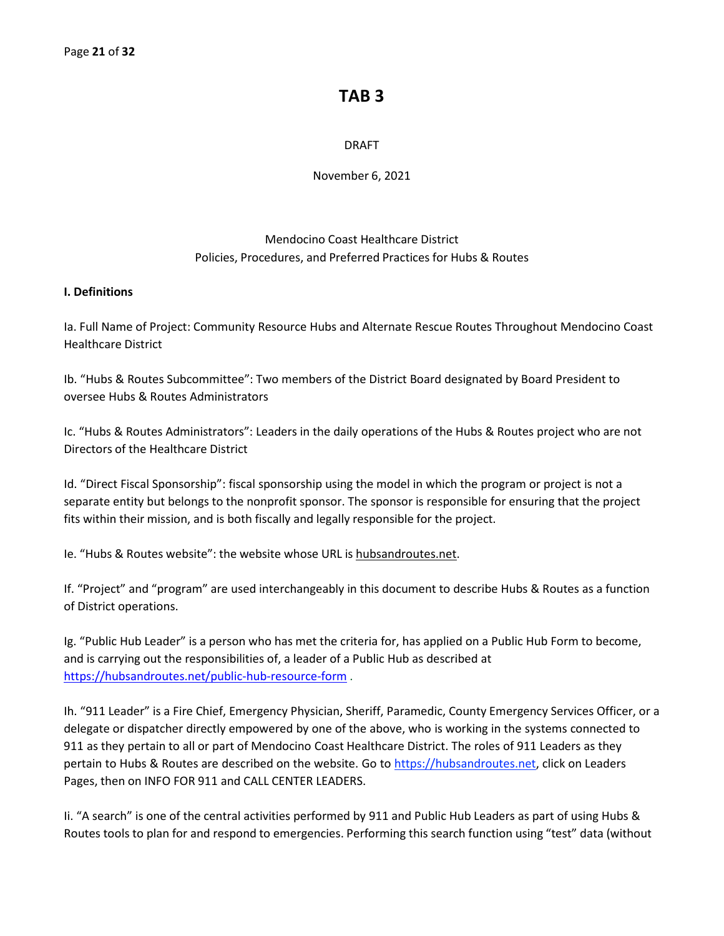# **TAB 3**

# DRAFT

November 6, 2021

# Mendocino Coast Healthcare District Policies, Procedures, and Preferred Practices for Hubs & Routes

# **I. Definitions**

Ia. Full Name of Project: Community Resource Hubs and Alternate Rescue Routes Throughout Mendocino Coast Healthcare District

Ib. "Hubs & Routes Subcommittee": Two members of the District Board designated by Board President to oversee Hubs & Routes Administrators

Ic. "Hubs & Routes Administrators": Leaders in the daily operations of the Hubs & Routes project who are not Directors of the Healthcare District

Id. "Direct Fiscal Sponsorship": fiscal sponsorship using the model in which the program or project is not a separate entity but belongs to the nonprofit sponsor. The sponsor is responsible for ensuring that the project fits within their mission, and is both fiscally and legally responsible for the project.

Ie. "Hubs & Routes website": the website whose URL is hubsandroutes.net.

If. "Project" and "program" are used interchangeably in this document to describe Hubs & Routes as a function of District operations.

Ig. "Public Hub Leader" is a person who has met the criteria for, has applied on a Public Hub Form to become, and is carrying out the responsibilities of, a leader of a Public Hub as described at <https://hubsandroutes.net/public-hub-resource-form> .

Ih. "911 Leader" is a Fire Chief, Emergency Physician, Sheriff, Paramedic, County Emergency Services Officer, or a delegate or dispatcher directly empowered by one of the above, who is working in the systems connected to 911 as they pertain to all or part of Mendocino Coast Healthcare District. The roles of 911 Leaders as they pertain to Hubs & Routes are described on the website. Go to https://hubsandroutes.net, click on Leaders Pages, then on INFO FOR 911 and CALL CENTER LEADERS.

Ii. "A search" is one of the central activities performed by 911 and Public Hub Leaders as part of using Hubs & Routes tools to plan for and respond to emergencies. Performing this search function using "test" data (without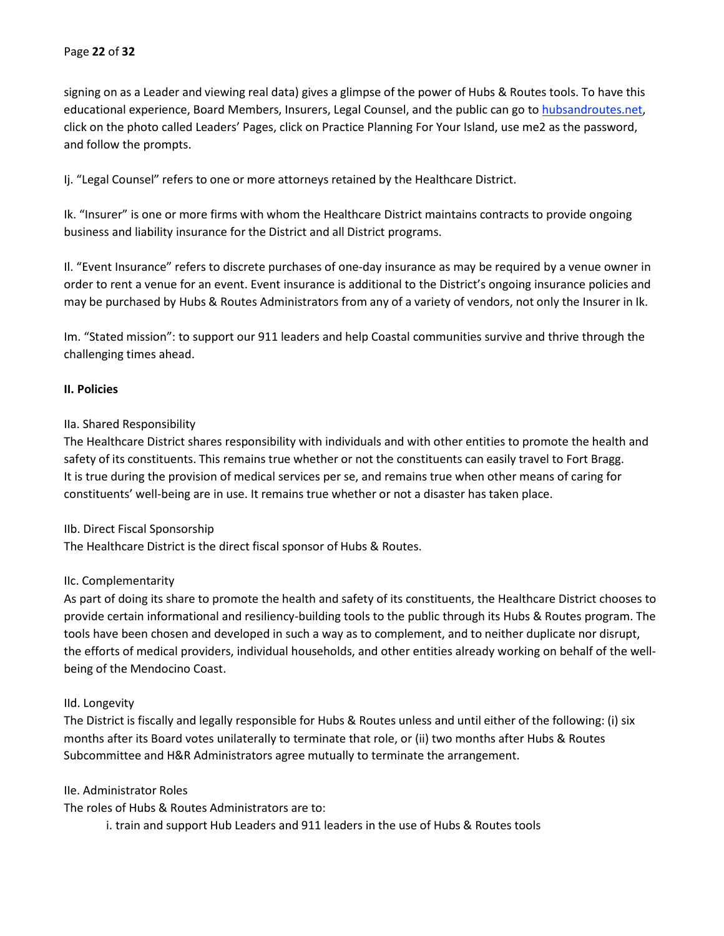signing on as a Leader and viewing real data) gives a glimpse of the power of Hubs & Routes tools. To have this educational experience, Board Members, Insurers, Legal Counsel, and the public can go to hubsandroutes.net, click on the photo called Leaders' Pages, click on Practice Planning For Your Island, use me2 as the password, and follow the prompts.

Ij. "Legal Counsel" refers to one or more attorneys retained by the Healthcare District.

Ik. "Insurer" is one or more firms with whom the Healthcare District maintains contracts to provide ongoing business and liability insurance for the District and all District programs.

Il. "Event Insurance" refers to discrete purchases of one-day insurance as may be required by a venue owner in order to rent a venue for an event. Event insurance is additional to the District's ongoing insurance policies and may be purchased by Hubs & Routes Administrators from any of a variety of vendors, not only the Insurer in Ik.

Im. "Stated mission": to support our 911 leaders and help Coastal communities survive and thrive through the challenging times ahead.

# **II. Policies**

# IIa. Shared Responsibility

The Healthcare District shares responsibility with individuals and with other entities to promote the health and safety of its constituents. This remains true whether or not the constituents can easily travel to Fort Bragg. It is true during the provision of medical services per se, and remains true when other means of caring for constituents' well-being are in use. It remains true whether or not a disaster has taken place.

#### IIb. Direct Fiscal Sponsorship

The Healthcare District is the direct fiscal sponsor of Hubs & Routes.

#### IIc. Complementarity

As part of doing its share to promote the health and safety of its constituents, the Healthcare District chooses to provide certain informational and resiliency-building tools to the public through its Hubs & Routes program. The tools have been chosen and developed in such a way as to complement, and to neither duplicate nor disrupt, the efforts of medical providers, individual households, and other entities already working on behalf of the wellbeing of the Mendocino Coast.

#### IId. Longevity

The District is fiscally and legally responsible for Hubs & Routes unless and until either of the following: (i) six months after its Board votes unilaterally to terminate that role, or (ii) two months after Hubs & Routes Subcommittee and H&R Administrators agree mutually to terminate the arrangement.

#### IIe. Administrator Roles

The roles of Hubs & Routes Administrators are to:

i. train and support Hub Leaders and 911 leaders in the use of Hubs & Routes tools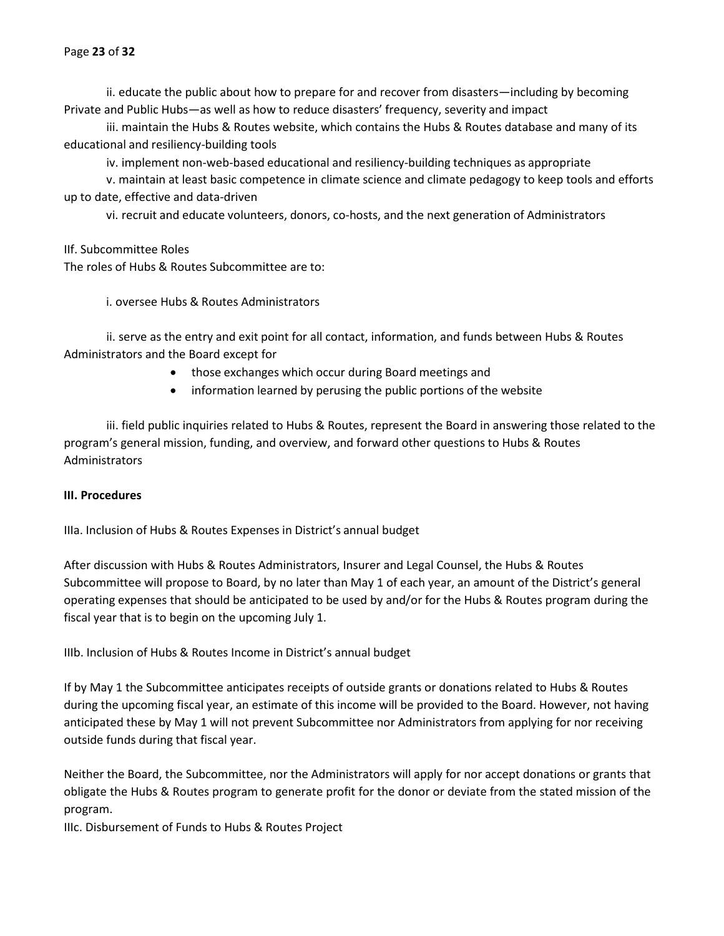ii. educate the public about how to prepare for and recover from disasters—including by becoming Private and Public Hubs—as well as how to reduce disasters' frequency, severity and impact

iii. maintain the Hubs & Routes website, which contains the Hubs & Routes database and many of its educational and resiliency-building tools

iv. implement non-web-based educational and resiliency-building techniques as appropriate

v. maintain at least basic competence in climate science and climate pedagogy to keep tools and efforts up to date, effective and data-driven

vi. recruit and educate volunteers, donors, co-hosts, and the next generation of Administrators

IIf. Subcommittee Roles The roles of Hubs & Routes Subcommittee are to:

i. oversee Hubs & Routes Administrators

ii. serve as the entry and exit point for all contact, information, and funds between Hubs & Routes Administrators and the Board except for

- those exchanges which occur during Board meetings and
- information learned by perusing the public portions of the website

iii. field public inquiries related to Hubs & Routes, represent the Board in answering those related to the program's general mission, funding, and overview, and forward other questions to Hubs & Routes Administrators

# **III. Procedures**

IIIa. Inclusion of Hubs & Routes Expenses in District's annual budget

After discussion with Hubs & Routes Administrators, Insurer and Legal Counsel, the Hubs & Routes Subcommittee will propose to Board, by no later than May 1 of each year, an amount of the District's general operating expenses that should be anticipated to be used by and/or for the Hubs & Routes program during the fiscal year that is to begin on the upcoming July 1.

IIIb. Inclusion of Hubs & Routes Income in District's annual budget

If by May 1 the Subcommittee anticipates receipts of outside grants or donations related to Hubs & Routes during the upcoming fiscal year, an estimate of this income will be provided to the Board. However, not having anticipated these by May 1 will not prevent Subcommittee nor Administrators from applying for nor receiving outside funds during that fiscal year.

Neither the Board, the Subcommittee, nor the Administrators will apply for nor accept donations or grants that obligate the Hubs & Routes program to generate profit for the donor or deviate from the stated mission of the program.

IIIc. Disbursement of Funds to Hubs & Routes Project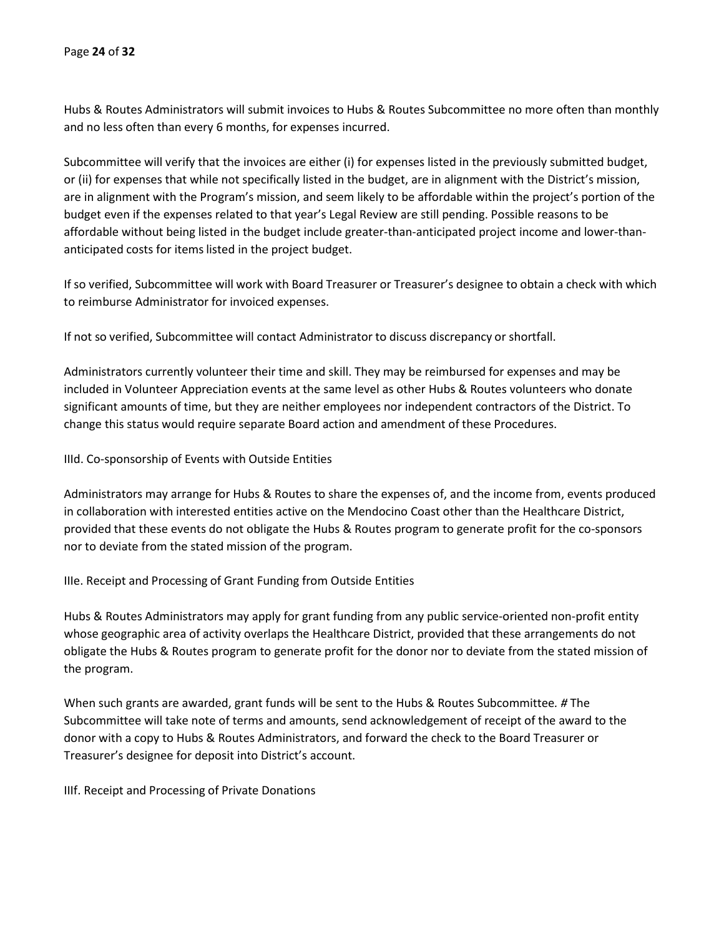Hubs & Routes Administrators will submit invoices to Hubs & Routes Subcommittee no more often than monthly and no less often than every 6 months, for expenses incurred.

Subcommittee will verify that the invoices are either (i) for expenses listed in the previously submitted budget, or (ii) for expenses that while not specifically listed in the budget, are in alignment with the District's mission, are in alignment with the Program's mission, and seem likely to be affordable within the project's portion of the budget even if the expenses related to that year's Legal Review are still pending. Possible reasons to be affordable without being listed in the budget include greater-than-anticipated project income and lower-thananticipated costs for items listed in the project budget.

If so verified, Subcommittee will work with Board Treasurer or Treasurer's designee to obtain a check with which to reimburse Administrator for invoiced expenses.

If not so verified, Subcommittee will contact Administrator to discuss discrepancy or shortfall.

Administrators currently volunteer their time and skill. They may be reimbursed for expenses and may be included in Volunteer Appreciation events at the same level as other Hubs & Routes volunteers who donate significant amounts of time, but they are neither employees nor independent contractors of the District. To change this status would require separate Board action and amendment of these Procedures.

IIId. Co-sponsorship of Events with Outside Entities

Administrators may arrange for Hubs & Routes to share the expenses of, and the income from, events produced in collaboration with interested entities active on the Mendocino Coast other than the Healthcare District, provided that these events do not obligate the Hubs & Routes program to generate profit for the co-sponsors nor to deviate from the stated mission of the program.

IIIe. Receipt and Processing of Grant Funding from Outside Entities

Hubs & Routes Administrators may apply for grant funding from any public service-oriented non-profit entity whose geographic area of activity overlaps the Healthcare District, provided that these arrangements do not obligate the Hubs & Routes program to generate profit for the donor nor to deviate from the stated mission of the program.

When such grants are awarded, grant funds will be sent to the Hubs & Routes Subcommittee*. #* The Subcommittee will take note of terms and amounts, send acknowledgement of receipt of the award to the donor with a copy to Hubs & Routes Administrators, and forward the check to the Board Treasurer or Treasurer's designee for deposit into District's account.

IIIf. Receipt and Processing of Private Donations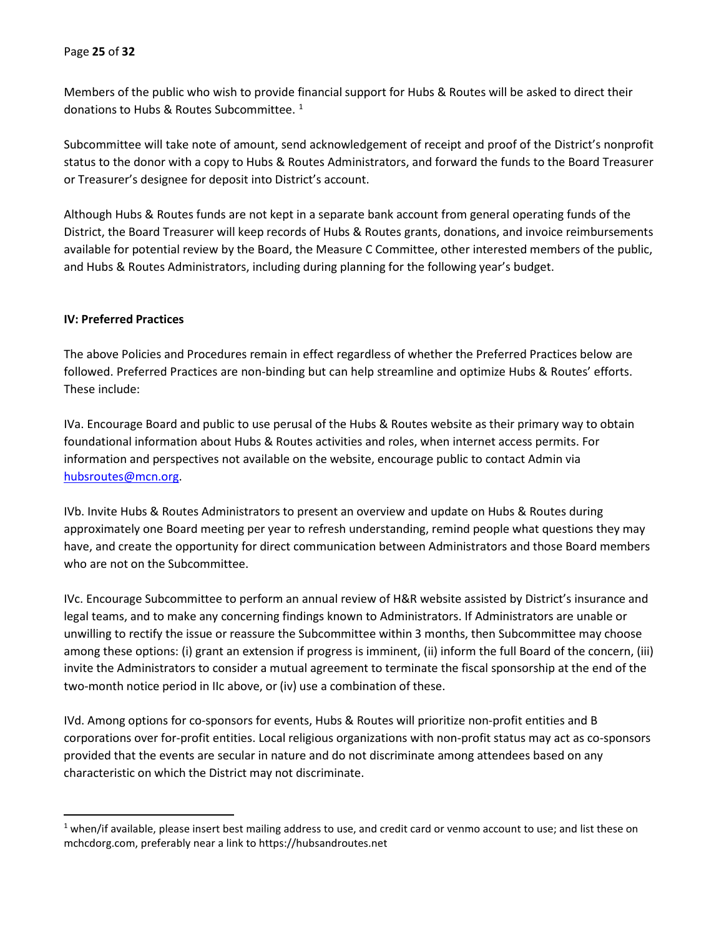Members of the public who wish to provide financial support for Hubs & Routes will be asked to direct their donations to Hubs & Routes Subcommittee. [1](#page-24-0)

Subcommittee will take note of amount, send acknowledgement of receipt and proof of the District's nonprofit status to the donor with a copy to Hubs & Routes Administrators, and forward the funds to the Board Treasurer or Treasurer's designee for deposit into District's account.

Although Hubs & Routes funds are not kept in a separate bank account from general operating funds of the District, the Board Treasurer will keep records of Hubs & Routes grants, donations, and invoice reimbursements available for potential review by the Board, the Measure C Committee, other interested members of the public, and Hubs & Routes Administrators, including during planning for the following year's budget.

#### **IV: Preferred Practices**

The above Policies and Procedures remain in effect regardless of whether the Preferred Practices below are followed. Preferred Practices are non-binding but can help streamline and optimize Hubs & Routes' efforts. These include:

IVa. Encourage Board and public to use perusal of the Hubs & Routes website as their primary way to obtain foundational information about Hubs & Routes activities and roles, when internet access permits. For information and perspectives not available on the website, encourage public to contact Admin via [hubsroutes@mcn.org.](mailto:hubsroutes@mcn.org)

IVb. Invite Hubs & Routes Administrators to present an overview and update on Hubs & Routes during approximately one Board meeting per year to refresh understanding, remind people what questions they may have, and create the opportunity for direct communication between Administrators and those Board members who are not on the Subcommittee.

IVc. Encourage Subcommittee to perform an annual review of H&R website assisted by District's insurance and legal teams, and to make any concerning findings known to Administrators. If Administrators are unable or unwilling to rectify the issue or reassure the Subcommittee within 3 months, then Subcommittee may choose among these options: (i) grant an extension if progress is imminent, (ii) inform the full Board of the concern, (iii) invite the Administrators to consider a mutual agreement to terminate the fiscal sponsorship at the end of the two-month notice period in IIc above, or (iv) use a combination of these.

IVd. Among options for co-sponsors for events, Hubs & Routes will prioritize non-profit entities and B corporations over for-profit entities. Local religious organizations with non-profit status may act as co-sponsors provided that the events are secular in nature and do not discriminate among attendees based on any characteristic on which the District may not discriminate.

<span id="page-24-0"></span><sup>&</sup>lt;sup>1</sup> when/if available, please insert best mailing address to use, and credit card or venmo account to use; and list these on mchcdorg.com, preferably near a link to https://hubsandroutes.net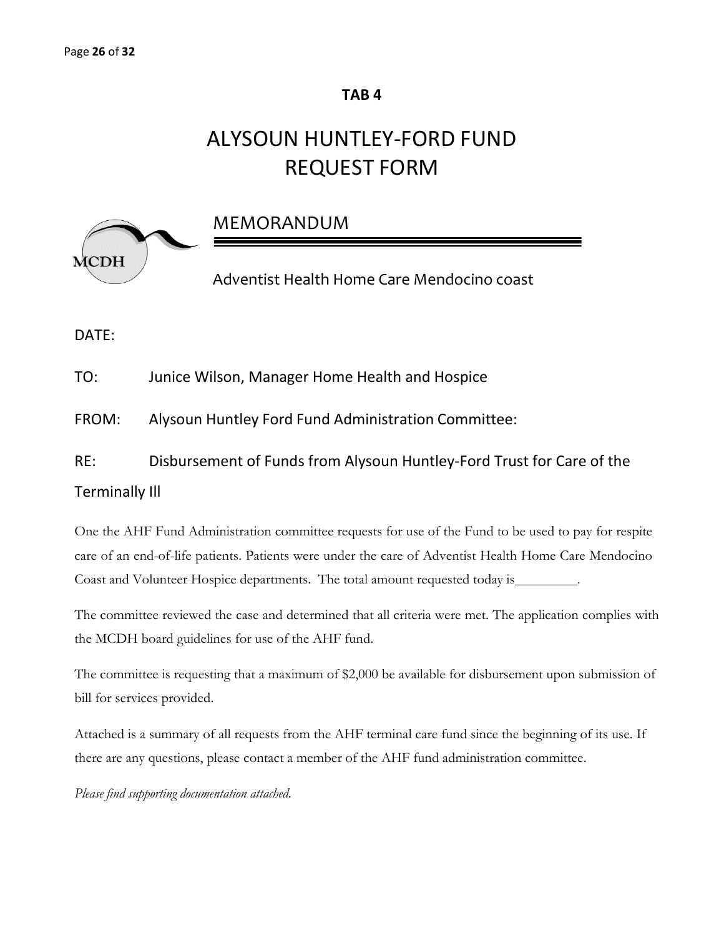# **TAB 4**

# ALYSOUN HUNTLEY-FORD FUND REQUEST FORM



MEMORANDUM

Adventist Health Home Care Mendocino coast

DATE:

TO: Junice Wilson, Manager Home Health and Hospice

FROM: Alysoun Huntley Ford Fund Administration Committee:

RE: Disbursement of Funds from Alysoun Huntley-Ford Trust for Care of the

# Terminally Ill

One the AHF Fund Administration committee requests for use of the Fund to be used to pay for respite care of an end-of-life patients. Patients were under the care of Adventist Health Home Care Mendocino Coast and Volunteer Hospice departments. The total amount requested today is .

The committee reviewed the case and determined that all criteria were met. The application complies with the MCDH board guidelines for use of the AHF fund.

The committee is requesting that a maximum of \$2,000 be available for disbursement upon submission of bill for services provided.

Attached is a summary of all requests from the AHF terminal care fund since the beginning of its use. If there are any questions, please contact a member of the AHF fund administration committee.

*Please find supporting documentation attached.*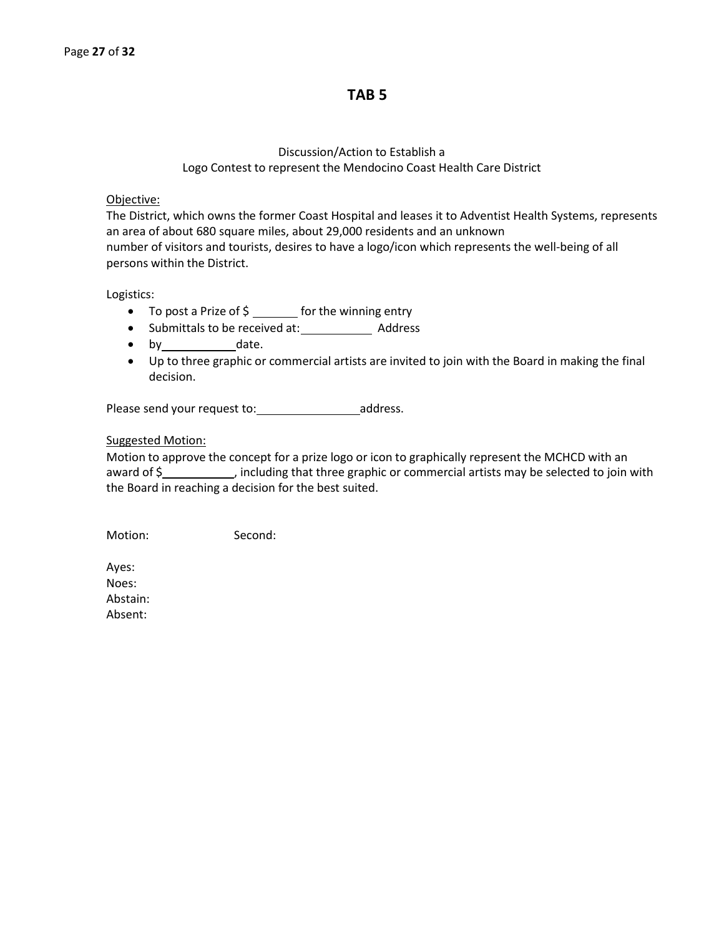# **TAB 5**

# Discussion/Action to Establish a Logo Contest to represent the Mendocino Coast Health Care District

#### Objective:

The District, which owns the former Coast Hospital and leases it to Adventist Health Systems, represents an area of about 680 square miles, about 29,000 residents and an unknown number of visitors and tourists, desires to have a logo/icon which represents the well-being of all persons within the District.

Logistics:

- To post a Prize of \$ \_\_\_\_\_\_ for the winning entry
- Submittals to be received at: \_\_\_\_\_\_\_\_\_\_\_\_\_\_ Address
- by date.
- Up to three graphic or commercial artists are invited to join with the Board in making the final decision.

Please send your request to: \_\_\_\_\_\_\_\_\_\_\_\_\_\_\_\_\_\_\_\_\_\_\_\_\_\_address.

#### Suggested Motion:

Motion to approve the concept for a prize logo or icon to graphically represent the MCHCD with an award of  $\frac{2}{3}$  , including that three graphic or commercial artists may be selected to join with the Board in reaching a decision for the best suited.

Motion: Second:

Ayes: Noes: Abstain: Absent: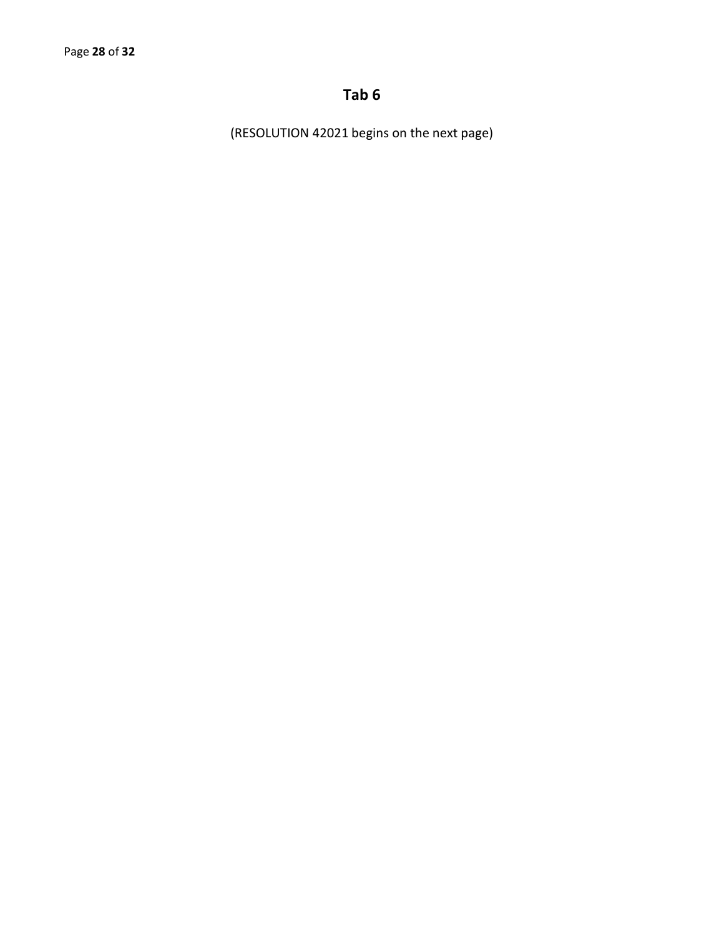# **Tab 6**

(RESOLUTION 42021 begins on the next page)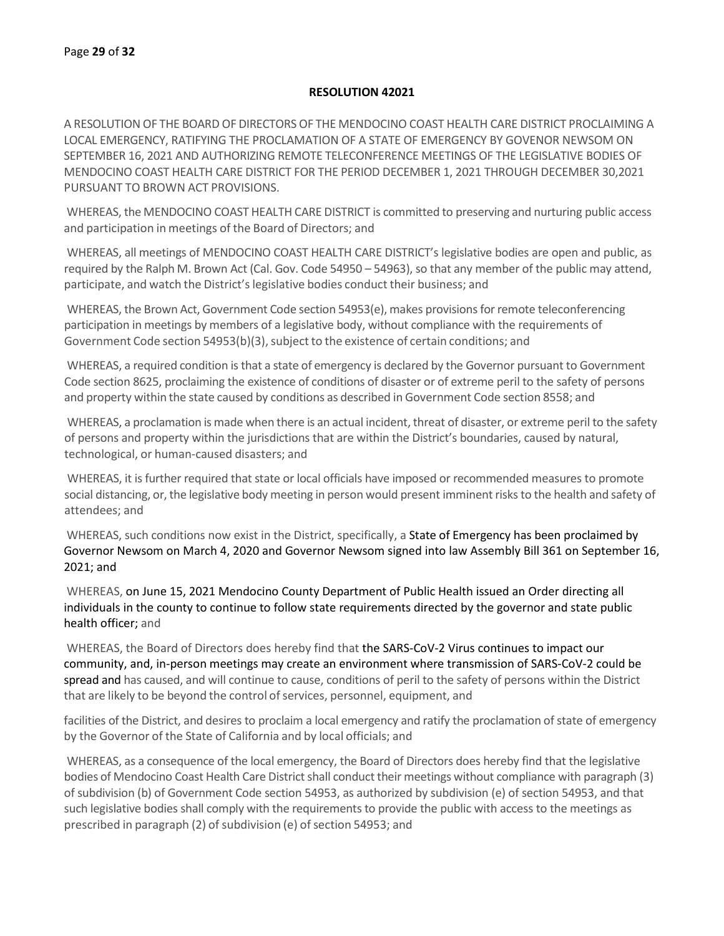#### **RESOLUTION 42021**

A RESOLUTION OF THE BOARD OF DIRECTORS OF THE MENDOCINO COAST HEALTH CARE DISTRICT PROCLAIMING A LOCAL EMERGENCY, RATIFYING THE PROCLAMATION OF A STATE OF EMERGENCY BY GOVENOR NEWSOM ON SEPTEMBER 16, 2021 AND AUTHORIZING REMOTE TELECONFERENCE MEETINGS OF THE LEGISLATIVE BODIES OF MENDOCINO COAST HEALTH CARE DISTRICT FOR THE PERIOD DECEMBER 1, 2021 THROUGH DECEMBER 30,2021 PURSUANT TO BROWN ACT PROVISIONS.

WHEREAS, the MENDOCINO COAST HEALTH CARE DISTRICT is committed to preserving and nurturing public access and participation in meetings of the Board of Directors; and

WHEREAS, all meetings of MENDOCINO COAST HEALTH CARE DISTRICT's legislative bodies are open and public, as required by the Ralph M. Brown Act (Cal. Gov. Code 54950 – 54963), so that any member of the public may attend, participate, and watch the District'slegislative bodies conduct their business; and

WHEREAS, the Brown Act, Government Code section 54953(e), makes provisions for remote teleconferencing participation in meetings by members of a legislative body, without compliance with the requirements of Government Code section 54953(b)(3), subject to the existence of certain conditions; and

WHEREAS, a required condition is that a state of emergency is declared by the Governor pursuant to Government Code section 8625, proclaiming the existence of conditions of disaster or of extreme peril to the safety of persons and property within the state caused by conditions as described in Government Code section 8558; and

WHEREAS, a proclamation is made when there is an actual incident, threat of disaster, or extreme peril to the safety of persons and property within the jurisdictions that are within the District's boundaries, caused by natural, technological, or human-caused disasters; and

WHEREAS, it is further required that state or local officials have imposed or recommended measures to promote social distancing, or, the legislative body meeting in person would present imminent risks to the health and safety of attendees; and

WHEREAS, such conditions now exist in the District, specifically, a State of Emergency has been proclaimed by Governor Newsom on March 4, 2020 and Governor Newsom signed into law Assembly Bill 361 on September 16, 2021; and

WHEREAS, on June 15, 2021 Mendocino County Department of Public Health issued an Order directing all individuals in the county to continue to follow state requirements directed by the governor and state public health officer; and

WHEREAS, the Board of Directors does hereby find that the SARS-CoV-2 Virus continues to impact our community, and, in-person meetings may create an environment where transmission of SARS-CoV-2 could be spread and has caused, and will continue to cause, conditions of peril to the safety of persons within the District that are likely to be beyond the control of services, personnel, equipment, and

facilities of the District, and desires to proclaim a local emergency and ratify the proclamation of state of emergency by the Governor of the State of California and by local officials; and

WHEREAS, as a consequence of the local emergency, the Board of Directors does hereby find that the legislative bodies of Mendocino Coast Health Care District shall conduct their meetings without compliance with paragraph (3) of subdivision (b) of Government Code section 54953, as authorized by subdivision (e) of section 54953, and that such legislative bodies shall comply with the requirements to provide the public with access to the meetings as prescribed in paragraph (2) of subdivision (e) of section 54953; and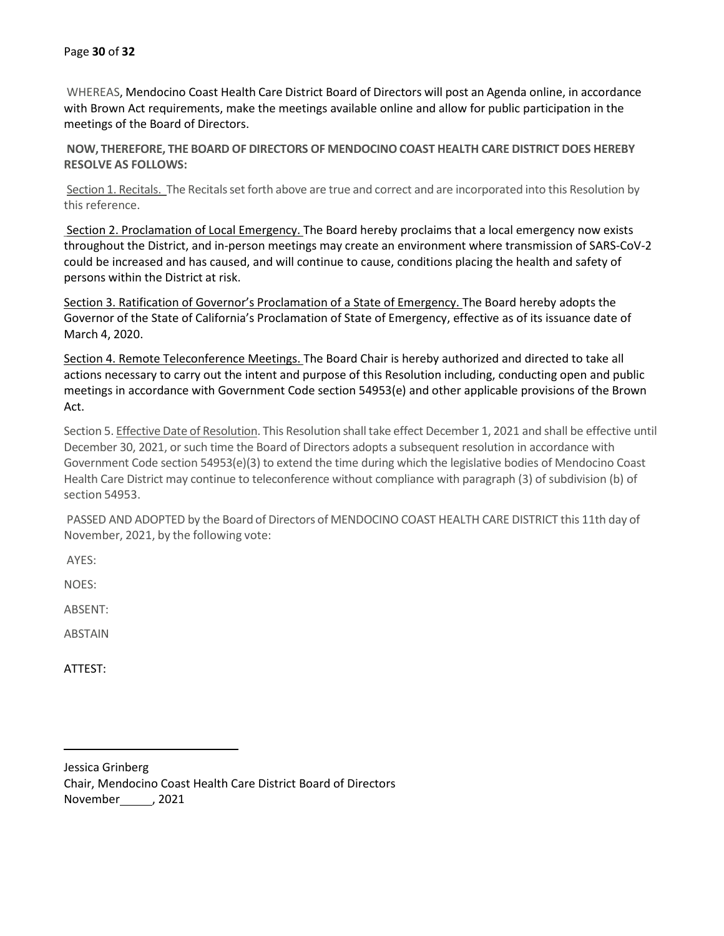WHEREAS, Mendocino Coast Health Care District Board of Directors will post an Agenda online, in accordance with Brown Act requirements, make the meetings available online and allow for public participation in the meetings of the Board of Directors.

**NOW, THEREFORE, THE BOARD OF DIRECTORS OF MENDOCINOCOAST HEALTH CARE DISTRICT DOES HEREBY RESOLVE AS FOLLOWS:**

Section 1. Recitals. The Recitals set forth above are true and correct and are incorporated into this Resolution by this reference.

Section 2. Proclamation of Local Emergency. The Board hereby proclaims that a local emergency now exists throughout the District, and in-person meetings may create an environment where transmission of SARS-CoV-2 could be increased and has caused, and will continue to cause, conditions placing the health and safety of persons within the District at risk.

Section 3. Ratification of Governor's Proclamation of a State of Emergency. The Board hereby adopts the Governor of the State of California's Proclamation of State of Emergency, effective as of its issuance date of March 4, 2020.

Section 4. Remote Teleconference Meetings. The Board Chair is hereby authorized and directed to take all actions necessary to carry out the intent and purpose of this Resolution including, conducting open and public meetings in accordance with Government Code section 54953(e) and other applicable provisions of the Brown Act.

Section 5. Effective Date of Resolution. This Resolution shall take effect December 1, 2021 and shall be effective until December 30, 2021, or such time the Board of Directors adopts a subsequent resolution in accordance with Government Code section 54953(e)(3) to extend the time during which the legislative bodies of Mendocino Coast Health Care District may continue to teleconference without compliance with paragraph (3) of subdivision (b) of section 54953.

PASSED AND ADOPTED by the Board of Directors of MENDOCINO COAST HEALTH CARE DISTRICT this 11th day of November, 2021, by the following vote:

AYES:

NOES:

ABSENT:

ABSTAIN

ATTEST:

Jessica Grinberg Chair, Mendocino Coast Health Care District Board of Directors November\_\_\_\_\_\_, 2021